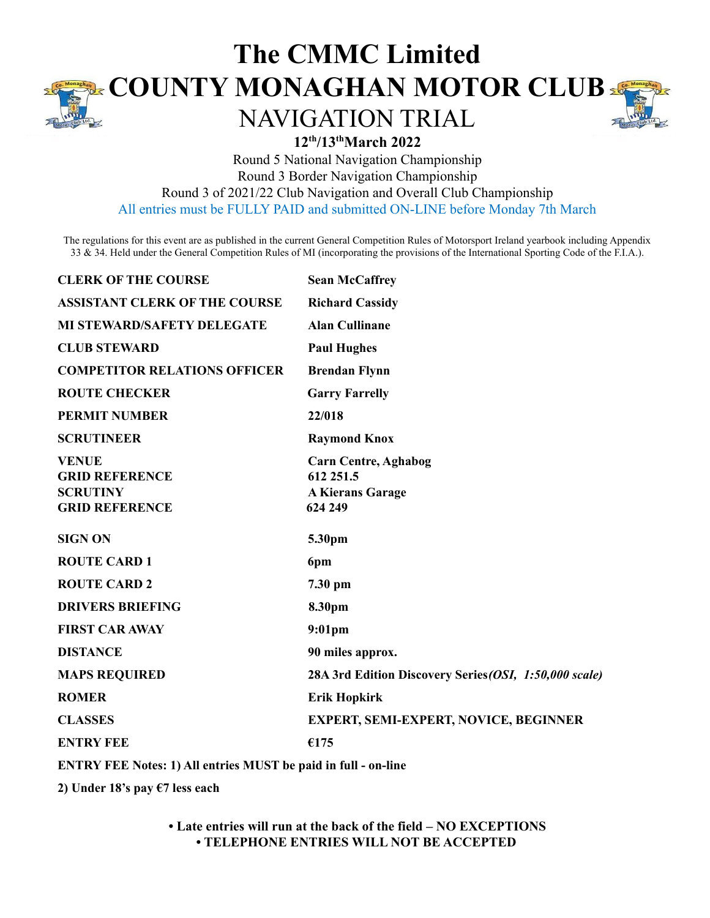

## **The CMMC Limited COUNTY MONAGHAN MOTOR CLUB**

## NAVIGATION TRIAL



## **12 th /13 thMarch 2022**

Round 5 National Navigation Championship

Round 3 Border Navigation Championship

Round 3 of 2021/22 Club Navigation and Overall Club Championship

All entries must be FULLY PAID and submitted ON-LINE before Monday 7th March

The regulations for this event are as published in the current General Competition Rules of Motorsport Ireland yearbook including Appendix 33 & 34. Held under the General Competition Rules of MI (incorporating the provisions of the International Sporting Code of the F.I.A.).

| <b>CLERK OF THE COURSE</b>                                                        | <b>Sean McCaffrey</b>                                                          |
|-----------------------------------------------------------------------------------|--------------------------------------------------------------------------------|
| <b>ASSISTANT CLERK OF THE COURSE</b>                                              | <b>Richard Cassidy</b>                                                         |
| <b>MI STEWARD/SAFETY DELEGATE</b>                                                 | <b>Alan Cullinane</b>                                                          |
| <b>CLUB STEWARD</b>                                                               | <b>Paul Hughes</b>                                                             |
| <b>COMPETITOR RELATIONS OFFICER</b>                                               | <b>Brendan Flynn</b>                                                           |
| <b>ROUTE CHECKER</b>                                                              | <b>Garry Farrelly</b>                                                          |
| <b>PERMIT NUMBER</b>                                                              | 22/018                                                                         |
| <b>SCRUTINEER</b>                                                                 | <b>Raymond Knox</b>                                                            |
| <b>VENUE</b><br><b>GRID REFERENCE</b><br><b>SCRUTINY</b><br><b>GRID REFERENCE</b> | <b>Carn Centre, Aghabog</b><br>612 251.5<br><b>A Kierans Garage</b><br>624 249 |
| <b>SIGN ON</b>                                                                    | 5.30pm                                                                         |
|                                                                                   |                                                                                |
| <b>ROUTE CARD 1</b>                                                               | 6pm                                                                            |
| <b>ROUTE CARD 2</b>                                                               | 7.30 pm                                                                        |
| <b>DRIVERS BRIEFING</b>                                                           | 8.30pm                                                                         |
| <b>FIRST CAR AWAY</b>                                                             | 9:01pm                                                                         |
| <b>DISTANCE</b>                                                                   | 90 miles approx.                                                               |
| <b>MAPS REQUIRED</b>                                                              | 28A 3rd Edition Discovery Series (OSI, 1:50,000 scale)                         |
| <b>ROMER</b>                                                                      | <b>Erik Hopkirk</b>                                                            |
| <b>CLASSES</b>                                                                    | <b>EXPERT, SEMI-EXPERT, NOVICE, BEGINNER</b>                                   |
| <b>ENTRY FEE</b>                                                                  | €175                                                                           |

**ENTRY FEE Notes: 1) All entries MUST be paid in full - on-line**

**2) Under 18's pay €7 less each**

**• Late entries will run at the back of the field – NO EXCEPTIONS • TELEPHONE ENTRIES WILL NOT BE ACCEPTED**